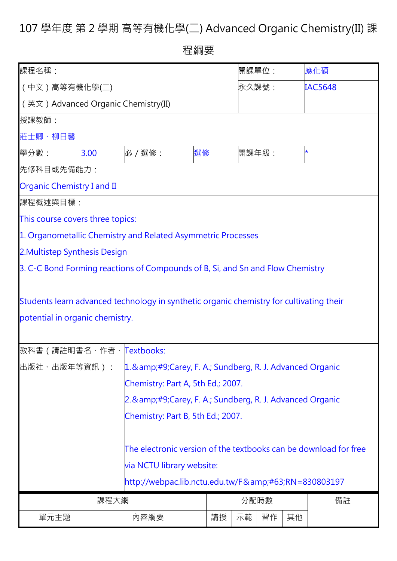## 107 學年度 第 2 學期 高等有機化學(二) Advanced Organic Chemistry(II) 課

程綱要

| 課程名稱:                                                                                                                      |                                              |                                                            |    | 開課單位: |       |    | 應化碩            |
|----------------------------------------------------------------------------------------------------------------------------|----------------------------------------------|------------------------------------------------------------|----|-------|-------|----|----------------|
| (中文)高等有機化學(二)                                                                                                              |                                              |                                                            |    |       | 永久課號: |    | <b>IAC5648</b> |
| (英文) Advanced Organic Chemistry(II)                                                                                        |                                              |                                                            |    |       |       |    |                |
| 授課教師:                                                                                                                      |                                              |                                                            |    |       |       |    |                |
| 莊士卿、柳日馨                                                                                                                    |                                              |                                                            |    |       |       |    |                |
| 學分數:<br>3.00                                                                                                               |                                              | 必 / 選修:                                                    | 選修 | 開課年級: |       |    | *              |
| 先修科目或先備能力:                                                                                                                 |                                              |                                                            |    |       |       |    |                |
| <b>Organic Chemistry I and II</b>                                                                                          |                                              |                                                            |    |       |       |    |                |
| 課程概述與目標:                                                                                                                   |                                              |                                                            |    |       |       |    |                |
| This course covers three topics:                                                                                           |                                              |                                                            |    |       |       |    |                |
| 1. Organometallic Chemistry and Related Asymmetric Processes                                                               |                                              |                                                            |    |       |       |    |                |
| 2. Multistep Synthesis Design                                                                                              |                                              |                                                            |    |       |       |    |                |
| 3. C-C Bond Forming reactions of Compounds of B, Si, and Sn and Flow Chemistry                                             |                                              |                                                            |    |       |       |    |                |
| Students learn advanced technology in synthetic organic chemistry for cultivating their<br>potential in organic chemistry. |                                              |                                                            |    |       |       |    |                |
| 教科書 ( 請註明書名、作者、 <mark>Textbooks:</mark>                                                                                    |                                              |                                                            |    |       |       |    |                |
| 出版社、出版年等資訊):                                                                                                               |                                              | 1. & amp;#9;Carey, F. A.; Sundberg, R. J. Advanced Organic |    |       |       |    |                |
|                                                                                                                            |                                              | Chemistry: Part A, 5th Ed.; 2007.                          |    |       |       |    |                |
|                                                                                                                            |                                              | 2. & amp;#9;Carey, F. A.; Sundberg, R. J. Advanced Organic |    |       |       |    |                |
|                                                                                                                            |                                              | Chemistry: Part B, 5th Ed.; 2007.                          |    |       |       |    |                |
| The electronic version of the textbooks can be download for free                                                           |                                              |                                                            |    |       |       |    |                |
| via NCTU library website:                                                                                                  |                                              |                                                            |    |       |       |    |                |
|                                                                                                                            | http://webpac.lib.nctu.edu.tw/F?RN=830803197 |                                                            |    |       |       |    |                |
|                                                                                                                            | 課程大網                                         |                                                            |    | 分配時數  |       | 備註 |                |
| 單元主題                                                                                                                       |                                              | 内容綱要                                                       | 講授 | 示範    | 習作    | 其他 |                |
|                                                                                                                            |                                              |                                                            |    |       |       |    |                |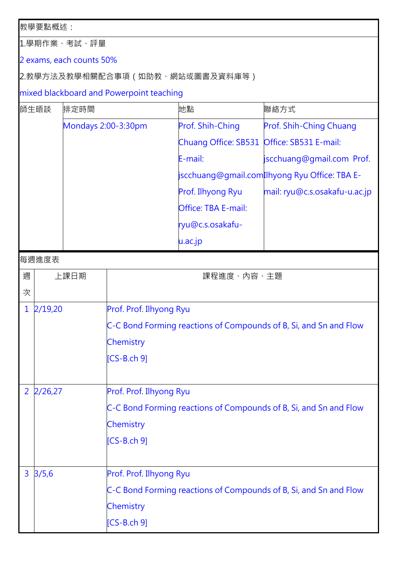教學要點概述:

1.學期作業、考試、評量

2 exams, each counts 50%

2.教學方法及教學相關配合事項(如助教、網站或圖書及資料庫等)

mixed blackboard and Powerpoint teaching

| 師生晤談           |         | 排定時間 |                                                                   | 地點                                         | 聯絡方式                                                              |  |  |
|----------------|---------|------|-------------------------------------------------------------------|--------------------------------------------|-------------------------------------------------------------------|--|--|
|                |         |      | Mondays 2:00-3:30pm                                               | Prof. Shih-Ching                           | Prof. Shih-Ching Chuang                                           |  |  |
|                |         |      |                                                                   | Chuang Office: SB531 Office: SB531 E-mail: |                                                                   |  |  |
|                |         |      |                                                                   | E-mail:                                    | jscchuang@gmail.com Prof.                                         |  |  |
|                |         |      |                                                                   |                                            | iscchuang@gmail.com Ilhyong Ryu Office: TBA E-                    |  |  |
|                |         |      |                                                                   | Prof. Ilhyong Ryu                          | mail: ryu@c.s.osakafu-u.ac.jp                                     |  |  |
|                |         |      |                                                                   | Office: TBA E-mail:                        |                                                                   |  |  |
|                |         |      |                                                                   | ryu@c.s.osakafu-                           |                                                                   |  |  |
|                |         |      |                                                                   | u.ac.jp                                    |                                                                   |  |  |
|                | 每週進度表   |      |                                                                   |                                            |                                                                   |  |  |
| 週              | 上課日期    |      | 課程進度、內容、主題                                                        |                                            |                                                                   |  |  |
| 次              |         |      |                                                                   |                                            |                                                                   |  |  |
| $\mathbf 1$    | 2/19,20 |      | Prof. Prof. Ilhyong Ryu                                           |                                            |                                                                   |  |  |
|                |         |      | C-C Bond Forming reactions of Compounds of B, Si, and Sn and Flow |                                            |                                                                   |  |  |
|                |         |      | Chemistry                                                         |                                            |                                                                   |  |  |
|                |         |      | $[CS-B.ch 9]$                                                     |                                            |                                                                   |  |  |
|                |         |      |                                                                   |                                            |                                                                   |  |  |
| $\overline{2}$ | 2/26,27 |      | Prof. Prof. Ilhyong Ryu                                           |                                            |                                                                   |  |  |
|                |         |      |                                                                   |                                            | C-C Bond Forming reactions of Compounds of B, Si, and Sn and Flow |  |  |
|                |         |      | Chemistry                                                         |                                            |                                                                   |  |  |
|                |         |      | $[CS-B.ch 9]$                                                     |                                            |                                                                   |  |  |
|                |         |      |                                                                   |                                            |                                                                   |  |  |
| $\overline{3}$ | 3/5,6   |      | Prof. Prof. Ilhyong Ryu                                           |                                            |                                                                   |  |  |
|                |         |      |                                                                   |                                            | C-C Bond Forming reactions of Compounds of B, Si, and Sn and Flow |  |  |
|                |         |      | Chemistry                                                         |                                            |                                                                   |  |  |
|                |         |      | $[CS-B.ch 9]$                                                     |                                            |                                                                   |  |  |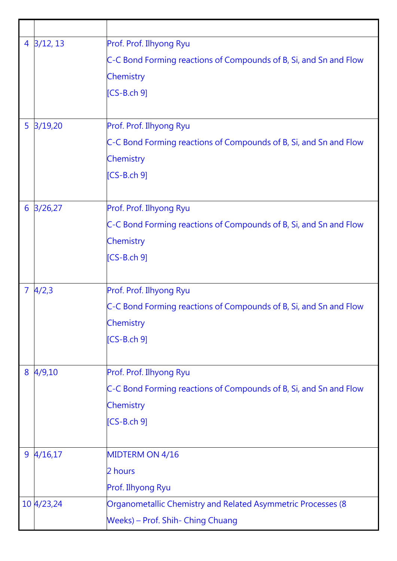|                | $4 \frac{3}{12}$ , 13 | Prof. Prof. Ilhyong Ryu                                           |
|----------------|-----------------------|-------------------------------------------------------------------|
|                |                       | C-C Bond Forming reactions of Compounds of B, Si, and Sn and Flow |
|                |                       | Chemistry                                                         |
|                |                       | $[CS-B.ch 9]$                                                     |
|                |                       |                                                                   |
| 5              | 3/19,20               | Prof. Prof. Ilhyong Ryu                                           |
|                |                       | C-C Bond Forming reactions of Compounds of B, Si, and Sn and Flow |
|                |                       | Chemistry                                                         |
|                |                       | $[CS-B.ch 9]$                                                     |
|                |                       |                                                                   |
| 6              | 3/26,27               | Prof. Prof. Ilhyong Ryu                                           |
|                |                       | C-C Bond Forming reactions of Compounds of B, Si, and Sn and Flow |
|                |                       | Chemistry                                                         |
|                |                       | $[CS-B.ch 9]$                                                     |
|                |                       |                                                                   |
| $\overline{7}$ | 4/2,3                 | Prof. Prof. Ilhyong Ryu                                           |
|                |                       | C-C Bond Forming reactions of Compounds of B, Si, and Sn and Flow |
|                |                       | Chemistry                                                         |
|                |                       | $[CS-B.ch 9]$                                                     |
|                |                       |                                                                   |
| 8              | 4/9,10                | Prof. Prof. Ilhyong Ryu                                           |
|                |                       | C-C Bond Forming reactions of Compounds of B, Si, and Sn and Flow |
|                |                       | Chemistry                                                         |
|                |                       | $[CS-B.ch 9]$                                                     |
|                |                       |                                                                   |
|                | $9 \frac{4}{16,17}$   | MIDTERM ON 4/16                                                   |
|                |                       | 2 hours                                                           |
|                |                       | Prof. Ilhyong Ryu                                                 |
|                | 10 4/23,24            | Organometallic Chemistry and Related Asymmetric Processes (8      |
|                |                       | Weeks) – Prof. Shih- Ching Chuang                                 |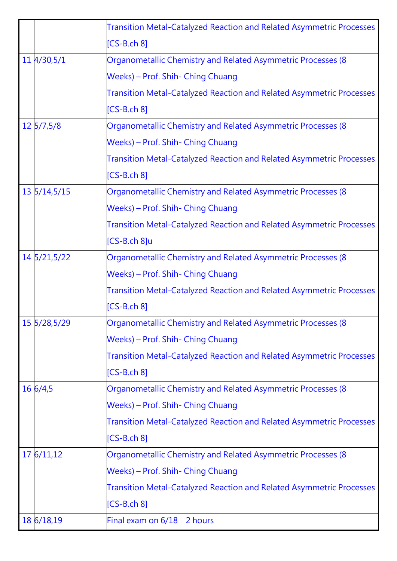|                        | Transition Metal-Catalyzed Reaction and Related Asymmetric Processes        |
|------------------------|-----------------------------------------------------------------------------|
|                        | $[CS-B.ch 8]$                                                               |
| $11 \frac{4}{30.5}$ /1 | Organometallic Chemistry and Related Asymmetric Processes (8                |
|                        | Weeks) – Prof. Shih- Ching Chuang                                           |
|                        | Transition Metal-Catalyzed Reaction and Related Asymmetric Processes        |
|                        | $[CS-B.ch 8]$                                                               |
| $12 \frac{5}{7,5/8}$   | Organometallic Chemistry and Related Asymmetric Processes (8                |
|                        | Weeks) – Prof. Shih- Ching Chuang                                           |
|                        | <b>Transition Metal-Catalyzed Reaction and Related Asymmetric Processes</b> |
|                        | $[CS-B.ch 8]$                                                               |
| 13 5/14,5/15           | Organometallic Chemistry and Related Asymmetric Processes (8)               |
|                        | Weeks) – Prof. Shih- Ching Chuang                                           |
|                        | Transition Metal-Catalyzed Reaction and Related Asymmetric Processes        |
|                        | [CS-B.ch 8]u                                                                |
| 14 5/21,5/22           | Organometallic Chemistry and Related Asymmetric Processes (8                |
|                        | Weeks) – Prof. Shih- Ching Chuang                                           |
|                        | Transition Metal-Catalyzed Reaction and Related Asymmetric Processes        |
|                        | $[CS-B.ch 8]$                                                               |
| 15 5/28,5/29           | Organometallic Chemistry and Related Asymmetric Processes (8                |
|                        | Weeks) – Prof. Shih- Ching Chuang                                           |
|                        | Transition Metal-Catalyzed Reaction and Related Asymmetric Processes        |
|                        | $[CS-B.ch 8]$                                                               |
| 16 6/4,5               | Organometallic Chemistry and Related Asymmetric Processes (8                |
|                        | Weeks) – Prof. Shih- Ching Chuang                                           |
|                        | Transition Metal-Catalyzed Reaction and Related Asymmetric Processes        |
|                        | $[CS-B.ch 8]$                                                               |
| 17 6/11,12             | Organometallic Chemistry and Related Asymmetric Processes (8                |
|                        | Weeks) – Prof. Shih- Ching Chuang                                           |
|                        | Transition Metal-Catalyzed Reaction and Related Asymmetric Processes        |
|                        | $[CS-B.ch 8]$                                                               |
| 18 6/18,19             | Final exam on 6/18 2 hours                                                  |